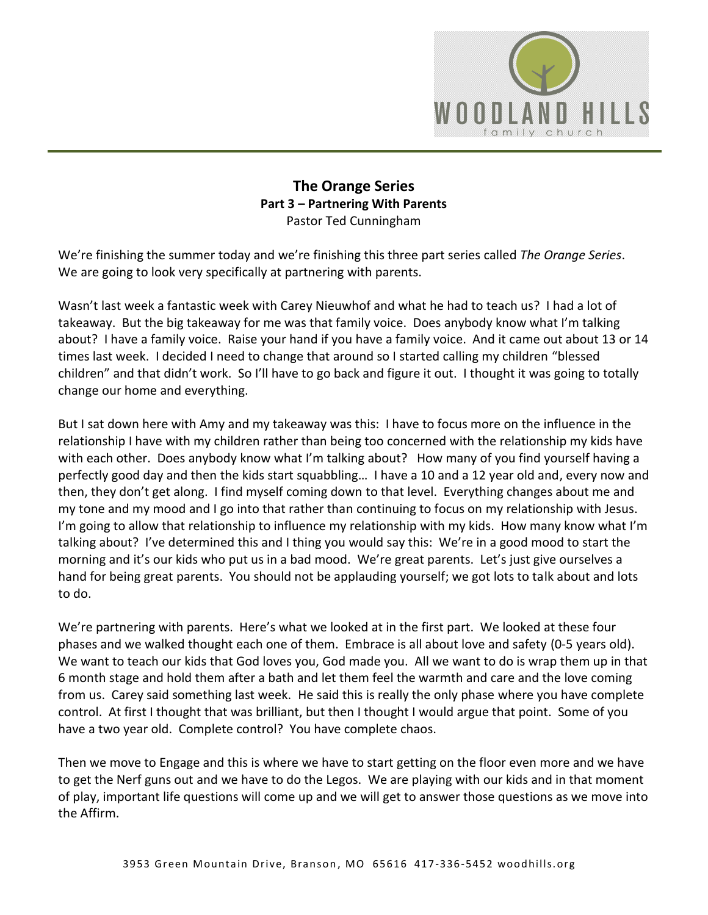

### **The Orange Series Part 3 – Partnering With Parents**  Pastor Ted Cunningham

We're finishing the summer today and we're finishing this three part series called *The Orange Series*. We are going to look very specifically at partnering with parents.

Wasn't last week a fantastic week with Carey Nieuwhof and what he had to teach us? I had a lot of takeaway. But the big takeaway for me was that family voice. Does anybody know what I'm talking about? I have a family voice. Raise your hand if you have a family voice. And it came out about 13 or 14 times last week. I decided I need to change that around so I started calling my children "blessed children" and that didn't work. So I'll have to go back and figure it out. I thought it was going to totally change our home and everything.

But I sat down here with Amy and my takeaway was this: I have to focus more on the influence in the relationship I have with my children rather than being too concerned with the relationship my kids have with each other. Does anybody know what I'm talking about? How many of you find yourself having a perfectly good day and then the kids start squabbling… I have a 10 and a 12 year old and, every now and then, they don't get along. I find myself coming down to that level. Everything changes about me and my tone and my mood and I go into that rather than continuing to focus on my relationship with Jesus. I'm going to allow that relationship to influence my relationship with my kids. How many know what I'm talking about? I've determined this and I thing you would say this: We're in a good mood to start the morning and it's our kids who put us in a bad mood. We're great parents. Let's just give ourselves a hand for being great parents. You should not be applauding yourself; we got lots to talk about and lots to do.

We're partnering with parents. Here's what we looked at in the first part. We looked at these four phases and we walked thought each one of them. Embrace is all about love and safety (0-5 years old). We want to teach our kids that God loves you, God made you. All we want to do is wrap them up in that 6 month stage and hold them after a bath and let them feel the warmth and care and the love coming from us. Carey said something last week. He said this is really the only phase where you have complete control. At first I thought that was brilliant, but then I thought I would argue that point. Some of you have a two year old. Complete control? You have complete chaos.

Then we move to Engage and this is where we have to start getting on the floor even more and we have to get the Nerf guns out and we have to do the Legos. We are playing with our kids and in that moment of play, important life questions will come up and we will get to answer those questions as we move into the Affirm.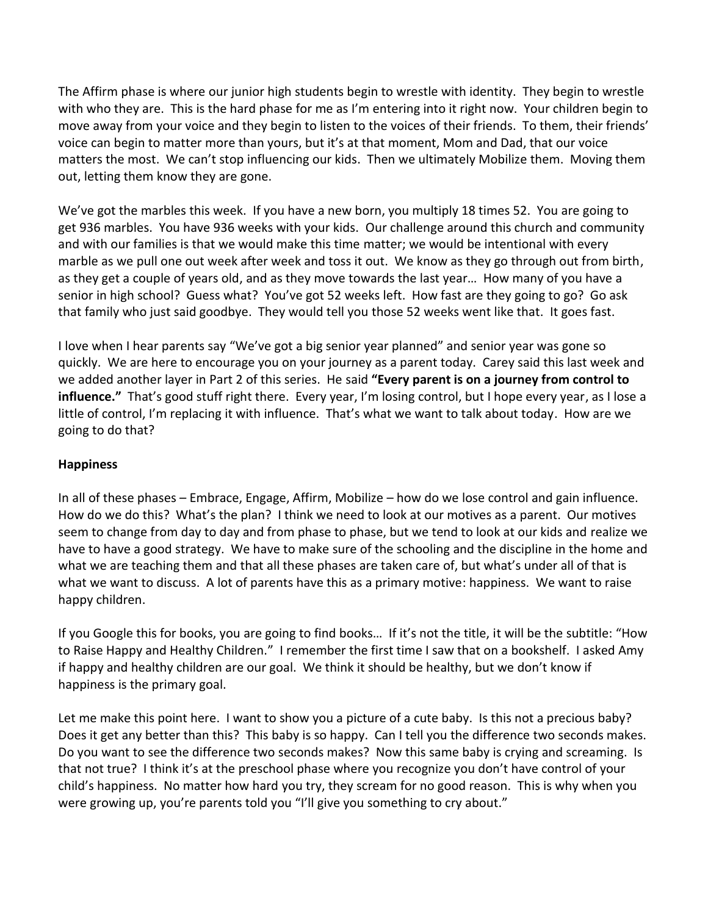The Affirm phase is where our junior high students begin to wrestle with identity. They begin to wrestle with who they are. This is the hard phase for me as I'm entering into it right now. Your children begin to move away from your voice and they begin to listen to the voices of their friends. To them, their friends' voice can begin to matter more than yours, but it's at that moment, Mom and Dad, that our voice matters the most. We can't stop influencing our kids. Then we ultimately Mobilize them. Moving them out, letting them know they are gone.

We've got the marbles this week. If you have a new born, you multiply 18 times 52. You are going to get 936 marbles. You have 936 weeks with your kids. Our challenge around this church and community and with our families is that we would make this time matter; we would be intentional with every marble as we pull one out week after week and toss it out. We know as they go through out from birth, as they get a couple of years old, and as they move towards the last year… How many of you have a senior in high school? Guess what? You've got 52 weeks left. How fast are they going to go? Go ask that family who just said goodbye. They would tell you those 52 weeks went like that. It goes fast.

I love when I hear parents say "We've got a big senior year planned" and senior year was gone so quickly. We are here to encourage you on your journey as a parent today. Carey said this last week and we added another layer in Part 2 of this series. He said **"Every parent is on a journey from control to influence."** That's good stuff right there. Every year, I'm losing control, but I hope every year, as I lose a little of control, I'm replacing it with influence. That's what we want to talk about today. How are we going to do that?

### **Happiness**

In all of these phases – Embrace, Engage, Affirm, Mobilize – how do we lose control and gain influence. How do we do this? What's the plan? I think we need to look at our motives as a parent. Our motives seem to change from day to day and from phase to phase, but we tend to look at our kids and realize we have to have a good strategy. We have to make sure of the schooling and the discipline in the home and what we are teaching them and that all these phases are taken care of, but what's under all of that is what we want to discuss. A lot of parents have this as a primary motive: happiness. We want to raise happy children.

If you Google this for books, you are going to find books… If it's not the title, it will be the subtitle: "How to Raise Happy and Healthy Children." I remember the first time I saw that on a bookshelf. I asked Amy if happy and healthy children are our goal. We think it should be healthy, but we don't know if happiness is the primary goal.

Let me make this point here. I want to show you a picture of a cute baby. Is this not a precious baby? Does it get any better than this? This baby is so happy. Can I tell you the difference two seconds makes. Do you want to see the difference two seconds makes? Now this same baby is crying and screaming. Is that not true? I think it's at the preschool phase where you recognize you don't have control of your child's happiness. No matter how hard you try, they scream for no good reason. This is why when you were growing up, you're parents told you "I'll give you something to cry about."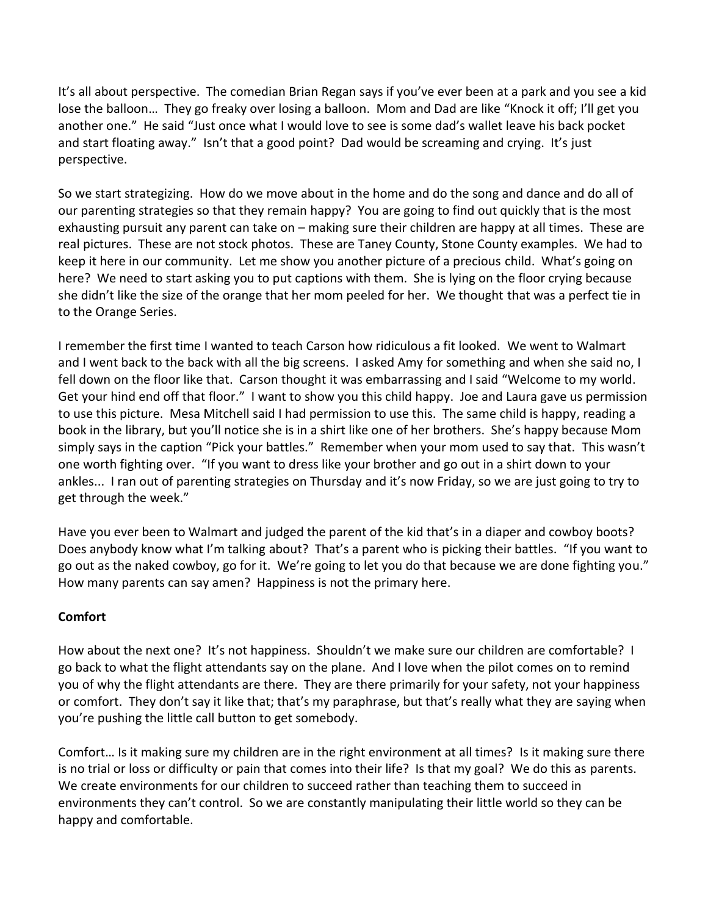It's all about perspective. The comedian Brian Regan says if you've ever been at a park and you see a kid lose the balloon… They go freaky over losing a balloon. Mom and Dad are like "Knock it off; I'll get you another one." He said "Just once what I would love to see is some dad's wallet leave his back pocket and start floating away." Isn't that a good point? Dad would be screaming and crying. It's just perspective.

So we start strategizing. How do we move about in the home and do the song and dance and do all of our parenting strategies so that they remain happy? You are going to find out quickly that is the most exhausting pursuit any parent can take on – making sure their children are happy at all times. These are real pictures. These are not stock photos. These are Taney County, Stone County examples. We had to keep it here in our community. Let me show you another picture of a precious child. What's going on here? We need to start asking you to put captions with them. She is lying on the floor crying because she didn't like the size of the orange that her mom peeled for her. We thought that was a perfect tie in to the Orange Series.

I remember the first time I wanted to teach Carson how ridiculous a fit looked. We went to Walmart and I went back to the back with all the big screens. I asked Amy for something and when she said no, I fell down on the floor like that. Carson thought it was embarrassing and I said "Welcome to my world. Get your hind end off that floor." I want to show you this child happy. Joe and Laura gave us permission to use this picture. Mesa Mitchell said I had permission to use this. The same child is happy, reading a book in the library, but you'll notice she is in a shirt like one of her brothers. She's happy because Mom simply says in the caption "Pick your battles." Remember when your mom used to say that. This wasn't one worth fighting over. "If you want to dress like your brother and go out in a shirt down to your ankles... I ran out of parenting strategies on Thursday and it's now Friday, so we are just going to try to get through the week."

Have you ever been to Walmart and judged the parent of the kid that's in a diaper and cowboy boots? Does anybody know what I'm talking about? That's a parent who is picking their battles. "If you want to go out as the naked cowboy, go for it. We're going to let you do that because we are done fighting you." How many parents can say amen? Happiness is not the primary here.

### **Comfort**

How about the next one? It's not happiness. Shouldn't we make sure our children are comfortable? I go back to what the flight attendants say on the plane. And I love when the pilot comes on to remind you of why the flight attendants are there. They are there primarily for your safety, not your happiness or comfort. They don't say it like that; that's my paraphrase, but that's really what they are saying when you're pushing the little call button to get somebody.

Comfort… Is it making sure my children are in the right environment at all times? Is it making sure there is no trial or loss or difficulty or pain that comes into their life? Is that my goal? We do this as parents. We create environments for our children to succeed rather than teaching them to succeed in environments they can't control. So we are constantly manipulating their little world so they can be happy and comfortable.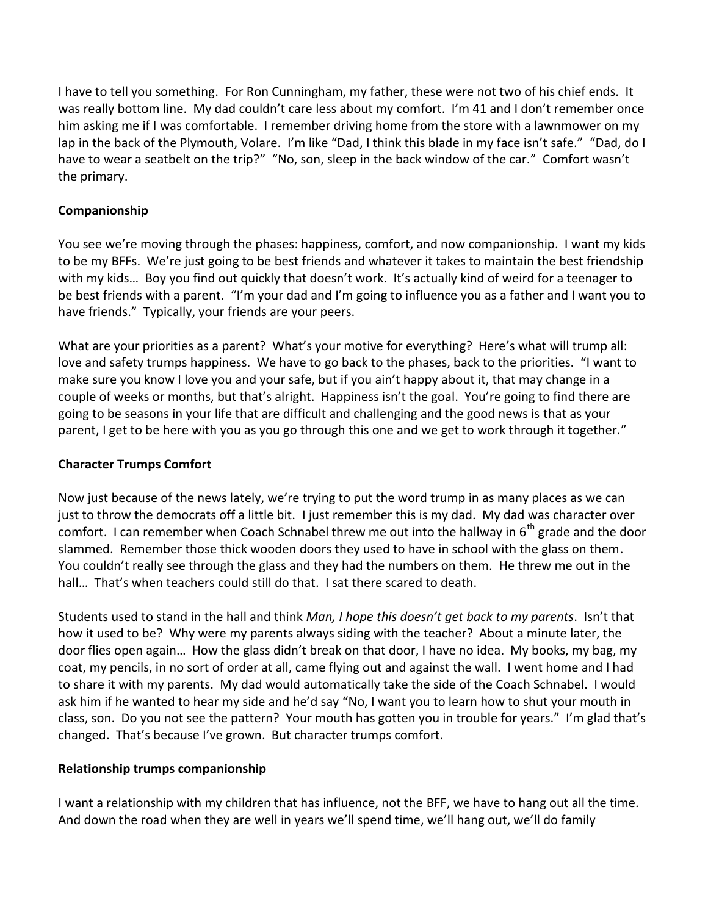I have to tell you something. For Ron Cunningham, my father, these were not two of his chief ends. It was really bottom line. My dad couldn't care less about my comfort. I'm 41 and I don't remember once him asking me if I was comfortable. I remember driving home from the store with a lawnmower on my lap in the back of the Plymouth, Volare. I'm like "Dad, I think this blade in my face isn't safe." "Dad, do I have to wear a seatbelt on the trip?" "No, son, sleep in the back window of the car." Comfort wasn't the primary.

### **Companionship**

You see we're moving through the phases: happiness, comfort, and now companionship. I want my kids to be my BFFs. We're just going to be best friends and whatever it takes to maintain the best friendship with my kids… Boy you find out quickly that doesn't work. It's actually kind of weird for a teenager to be best friends with a parent. "I'm your dad and I'm going to influence you as a father and I want you to have friends." Typically, your friends are your peers.

What are your priorities as a parent? What's your motive for everything? Here's what will trump all: love and safety trumps happiness. We have to go back to the phases, back to the priorities. "I want to make sure you know I love you and your safe, but if you ain't happy about it, that may change in a couple of weeks or months, but that's alright. Happiness isn't the goal. You're going to find there are going to be seasons in your life that are difficult and challenging and the good news is that as your parent, I get to be here with you as you go through this one and we get to work through it together."

### **Character Trumps Comfort**

Now just because of the news lately, we're trying to put the word trump in as many places as we can just to throw the democrats off a little bit. I just remember this is my dad. My dad was character over comfort. I can remember when Coach Schnabel threw me out into the hallway in  $6<sup>th</sup>$  grade and the door slammed. Remember those thick wooden doors they used to have in school with the glass on them. You couldn't really see through the glass and they had the numbers on them. He threw me out in the hall... That's when teachers could still do that. I sat there scared to death.

Students used to stand in the hall and think *Man, I hope this doesn't get back to my parents*. Isn't that how it used to be? Why were my parents always siding with the teacher? About a minute later, the door flies open again… How the glass didn't break on that door, I have no idea. My books, my bag, my coat, my pencils, in no sort of order at all, came flying out and against the wall. I went home and I had to share it with my parents. My dad would automatically take the side of the Coach Schnabel. I would ask him if he wanted to hear my side and he'd say "No, I want you to learn how to shut your mouth in class, son. Do you not see the pattern? Your mouth has gotten you in trouble for years." I'm glad that's changed. That's because I've grown. But character trumps comfort.

### **Relationship trumps companionship**

I want a relationship with my children that has influence, not the BFF, we have to hang out all the time. And down the road when they are well in years we'll spend time, we'll hang out, we'll do family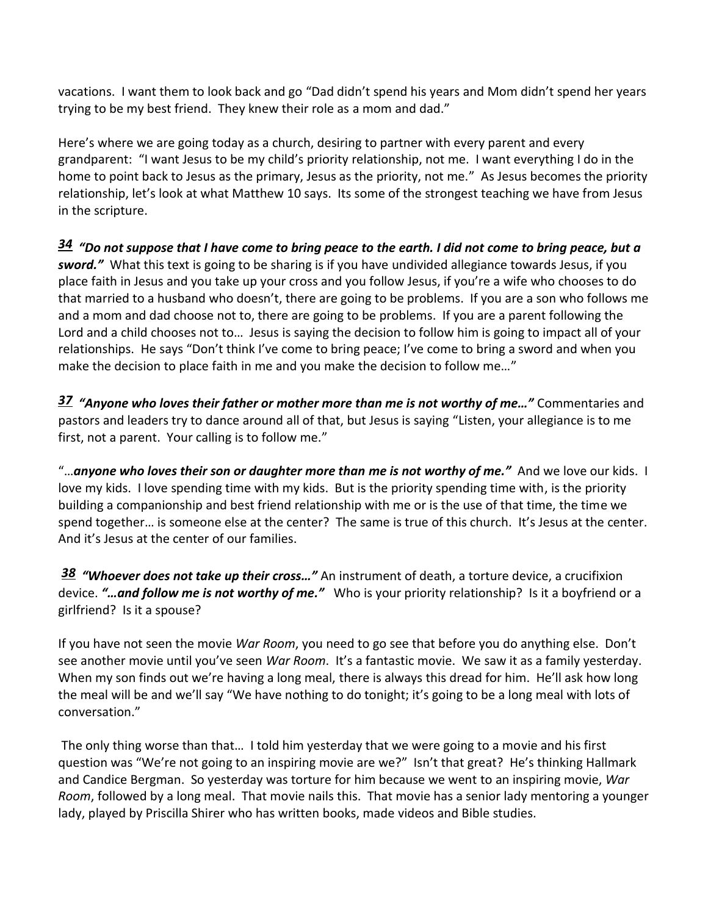vacations. I want them to look back and go "Dad didn't spend his years and Mom didn't spend her years trying to be my best friend. They knew their role as a mom and dad."

Here's where we are going today as a church, desiring to partner with every parent and every grandparent: "I want Jesus to be my child's priority relationship, not me. I want everything I do in the home to point back to Jesus as the primary, Jesus as the priority, not me." As Jesus becomes the priority relationship, let's look at what Matthew 10 says. Its some of the strongest teaching we have from Jesus in the scripture.

*[34](http://www.studylight.org/desk/?q=mt%2010:34&t1=en_niv&sr=1) "Do not suppose that I have come to bring peace to the earth. I did not come to bring peace, but a sword."* What this text is going to be sharing is if you have undivided allegiance towards Jesus, if you place faith in Jesus and you take up your cross and you follow Jesus, if you're a wife who chooses to do that married to a husband who doesn't, there are going to be problems. If you are a son who follows me and a mom and dad choose not to, there are going to be problems. If you are a parent following the Lord and a child chooses not to… Jesus is saying the decision to follow him is going to impact all of your relationships. He says "Don't think I've come to bring peace; I've come to bring a sword and when you make the decision to place faith in me and you make the decision to follow me…"

*[37](http://www.studylight.org/desk/?q=mt%2010:37&t1=en_niv&sr=1) "Anyone who loves their father or mother more than me is not worthy of me…"* Commentaries and pastors and leaders try to dance around all of that, but Jesus is saying "Listen, your allegiance is to me first, not a parent. Your calling is to follow me."

"…*anyone who loves their son or daughter more than me is not worthy of me."* And we love our kids. I love my kids. I love spending time with my kids. But is the priority spending time with, is the priority building a companionship and best friend relationship with me or is the use of that time, the time we spend together… is someone else at the center? The same is true of this church. It's Jesus at the center. And it's Jesus at the center of our families.

*[38](http://www.studylight.org/desk/?q=mt%2010:38&t1=en_niv&sr=1) "Whoever does not take up their cross…"* An instrument of death, a torture device, a crucifixion device. *"…and follow me is not worthy of me."* Who is your priority relationship? Is it a boyfriend or a girlfriend? Is it a spouse?

If you have not seen the movie *War Room*, you need to go see that before you do anything else. Don't see another movie until you've seen *War Room*. It's a fantastic movie. We saw it as a family yesterday. When my son finds out we're having a long meal, there is always this dread for him. He'll ask how long the meal will be and we'll say "We have nothing to do tonight; it's going to be a long meal with lots of conversation."

The only thing worse than that… I told him yesterday that we were going to a movie and his first question was "We're not going to an inspiring movie are we?" Isn't that great? He's thinking Hallmark and Candice Bergman. So yesterday was torture for him because we went to an inspiring movie, *War Room*, followed by a long meal. That movie nails this. That movie has a senior lady mentoring a younger lady, played by Priscilla Shirer who has written books, made videos and Bible studies.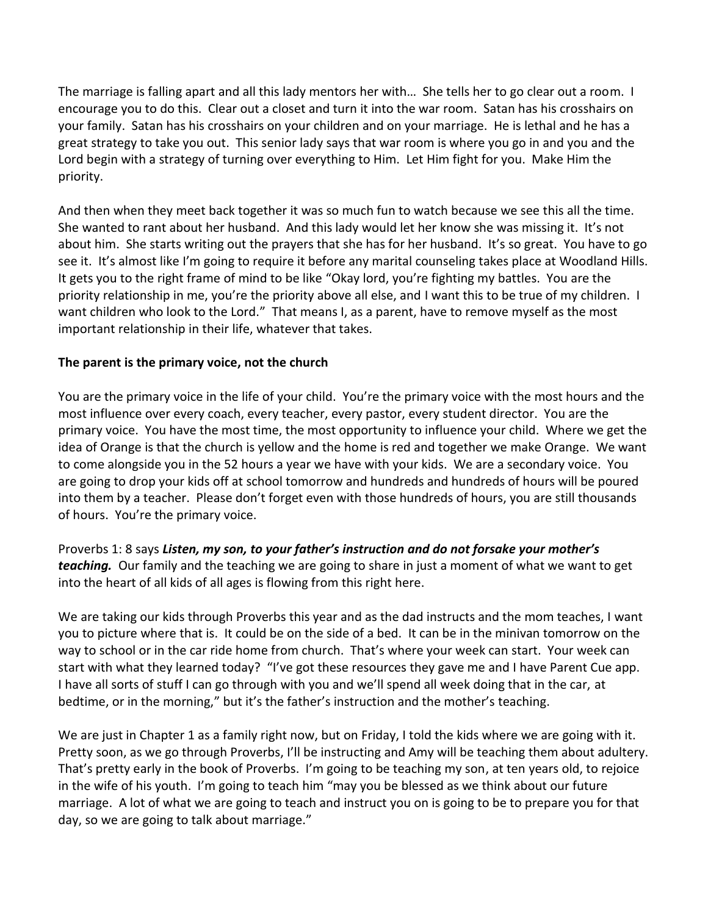The marriage is falling apart and all this lady mentors her with… She tells her to go clear out a room. I encourage you to do this. Clear out a closet and turn it into the war room. Satan has his crosshairs on your family. Satan has his crosshairs on your children and on your marriage. He is lethal and he has a great strategy to take you out. This senior lady says that war room is where you go in and you and the Lord begin with a strategy of turning over everything to Him. Let Him fight for you. Make Him the priority.

And then when they meet back together it was so much fun to watch because we see this all the time. She wanted to rant about her husband. And this lady would let her know she was missing it. It's not about him. She starts writing out the prayers that she has for her husband. It's so great. You have to go see it. It's almost like I'm going to require it before any marital counseling takes place at Woodland Hills. It gets you to the right frame of mind to be like "Okay lord, you're fighting my battles. You are the priority relationship in me, you're the priority above all else, and I want this to be true of my children. I want children who look to the Lord." That means I, as a parent, have to remove myself as the most important relationship in their life, whatever that takes.

### **The parent is the primary voice, not the church**

You are the primary voice in the life of your child. You're the primary voice with the most hours and the most influence over every coach, every teacher, every pastor, every student director. You are the primary voice. You have the most time, the most opportunity to influence your child. Where we get the idea of Orange is that the church is yellow and the home is red and together we make Orange. We want to come alongside you in the 52 hours a year we have with your kids. We are a secondary voice. You are going to drop your kids off at school tomorrow and hundreds and hundreds of hours will be poured into them by a teacher. Please don't forget even with those hundreds of hours, you are still thousands of hours. You're the primary voice.

Proverbs 1: 8 says *Listen, my son, to your father's instruction and do not forsake your mother's teaching.* Our family and the teaching we are going to share in just a moment of what we want to get into the heart of all kids of all ages is flowing from this right here.

We are taking our kids through Proverbs this year and as the dad instructs and the mom teaches, I want you to picture where that is. It could be on the side of a bed. It can be in the minivan tomorrow on the way to school or in the car ride home from church. That's where your week can start. Your week can start with what they learned today? "I've got these resources they gave me and I have Parent Cue app. I have all sorts of stuff I can go through with you and we'll spend all week doing that in the car, at bedtime, or in the morning," but it's the father's instruction and the mother's teaching.

We are just in Chapter 1 as a family right now, but on Friday, I told the kids where we are going with it. Pretty soon, as we go through Proverbs, I'll be instructing and Amy will be teaching them about adultery. That's pretty early in the book of Proverbs. I'm going to be teaching my son, at ten years old, to rejoice in the wife of his youth. I'm going to teach him "may you be blessed as we think about our future marriage. A lot of what we are going to teach and instruct you on is going to be to prepare you for that day, so we are going to talk about marriage."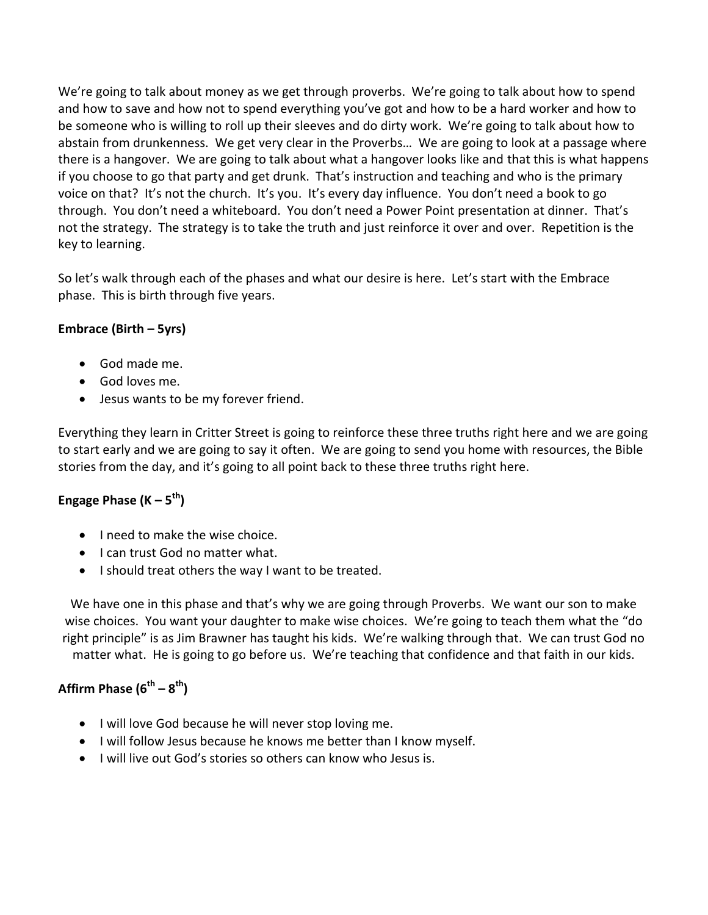We're going to talk about money as we get through proverbs. We're going to talk about how to spend and how to save and how not to spend everything you've got and how to be a hard worker and how to be someone who is willing to roll up their sleeves and do dirty work. We're going to talk about how to abstain from drunkenness. We get very clear in the Proverbs… We are going to look at a passage where there is a hangover. We are going to talk about what a hangover looks like and that this is what happens if you choose to go that party and get drunk. That's instruction and teaching and who is the primary voice on that? It's not the church. It's you. It's every day influence. You don't need a book to go through. You don't need a whiteboard. You don't need a Power Point presentation at dinner. That's not the strategy. The strategy is to take the truth and just reinforce it over and over. Repetition is the key to learning.

So let's walk through each of the phases and what our desire is here. Let's start with the Embrace phase. This is birth through five years.

# **Embrace (Birth – 5yrs)**

- God made me.
- God loves me.
- Jesus wants to be my forever friend.

Everything they learn in Critter Street is going to reinforce these three truths right here and we are going to start early and we are going to say it often. We are going to send you home with resources, the Bible stories from the day, and it's going to all point back to these three truths right here.

# **Engage Phase (K – 5th)**

- I need to make the wise choice.
- I can trust God no matter what.
- I should treat others the way I want to be treated.

We have one in this phase and that's why we are going through Proverbs. We want our son to make wise choices. You want your daughter to make wise choices. We're going to teach them what the "do right principle" is as Jim Brawner has taught his kids. We're walking through that. We can trust God no matter what. He is going to go before us. We're teaching that confidence and that faith in our kids.

# **Affirm Phase (6th – 8th)**

- I will love God because he will never stop loving me.
- I will follow Jesus because he knows me better than I know myself.
- I will live out God's stories so others can know who Jesus is.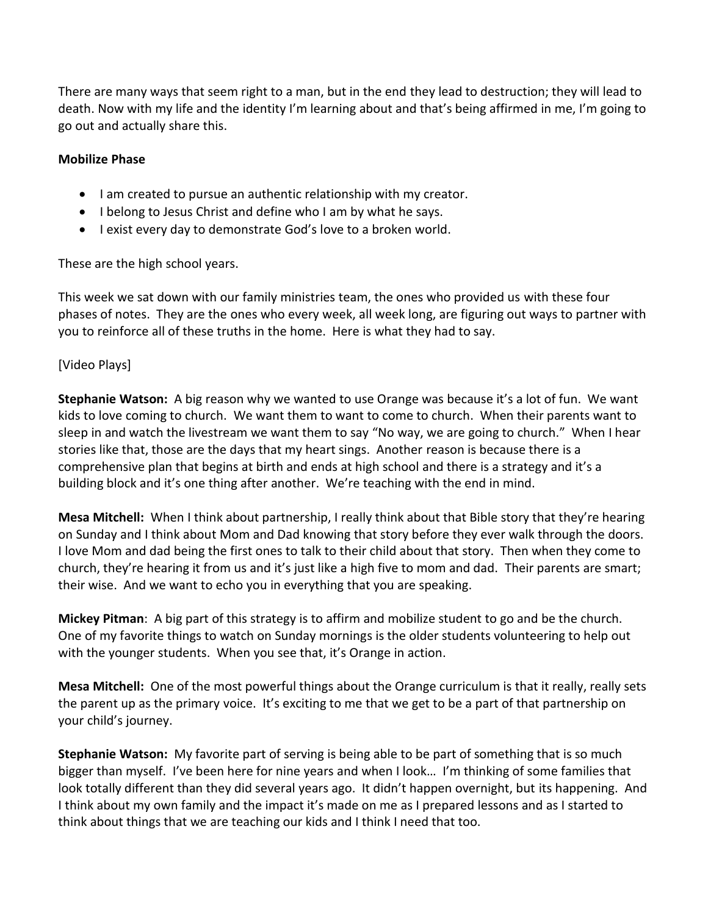There are many ways that seem right to a man, but in the end they lead to destruction; they will lead to death. Now with my life and the identity I'm learning about and that's being affirmed in me, I'm going to go out and actually share this.

### **Mobilize Phase**

- I am created to pursue an authentic relationship with my creator.
- I belong to Jesus Christ and define who I am by what he says.
- I exist every day to demonstrate God's love to a broken world.

These are the high school years.

This week we sat down with our family ministries team, the ones who provided us with these four phases of notes. They are the ones who every week, all week long, are figuring out ways to partner with you to reinforce all of these truths in the home. Here is what they had to say.

## [Video Plays]

**Stephanie Watson:** A big reason why we wanted to use Orange was because it's a lot of fun. We want kids to love coming to church. We want them to want to come to church. When their parents want to sleep in and watch the livestream we want them to say "No way, we are going to church." When I hear stories like that, those are the days that my heart sings. Another reason is because there is a comprehensive plan that begins at birth and ends at high school and there is a strategy and it's a building block and it's one thing after another. We're teaching with the end in mind.

**Mesa Mitchell:** When I think about partnership, I really think about that Bible story that they're hearing on Sunday and I think about Mom and Dad knowing that story before they ever walk through the doors. I love Mom and dad being the first ones to talk to their child about that story. Then when they come to church, they're hearing it from us and it's just like a high five to mom and dad. Their parents are smart; their wise. And we want to echo you in everything that you are speaking.

**Mickey Pitman**: A big part of this strategy is to affirm and mobilize student to go and be the church. One of my favorite things to watch on Sunday mornings is the older students volunteering to help out with the younger students. When you see that, it's Orange in action.

**Mesa Mitchell:** One of the most powerful things about the Orange curriculum is that it really, really sets the parent up as the primary voice. It's exciting to me that we get to be a part of that partnership on your child's journey.

**Stephanie Watson:** My favorite part of serving is being able to be part of something that is so much bigger than myself. I've been here for nine years and when I look… I'm thinking of some families that look totally different than they did several years ago. It didn't happen overnight, but its happening. And I think about my own family and the impact it's made on me as I prepared lessons and as I started to think about things that we are teaching our kids and I think I need that too.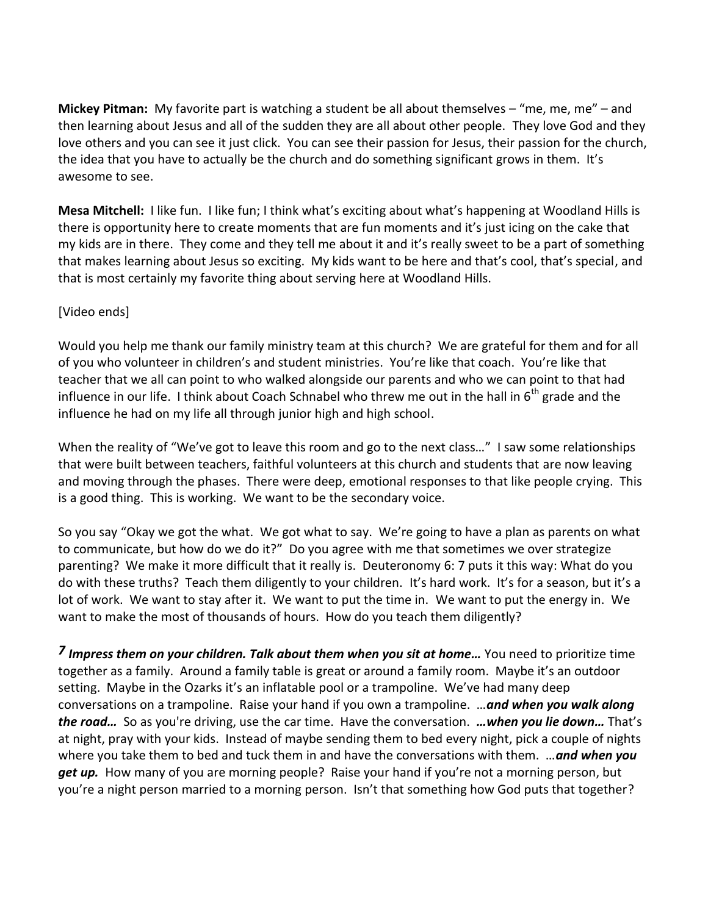**Mickey Pitman:** My favorite part is watching a student be all about themselves – "me, me, me" – and then learning about Jesus and all of the sudden they are all about other people. They love God and they love others and you can see it just click. You can see their passion for Jesus, their passion for the church, the idea that you have to actually be the church and do something significant grows in them. It's awesome to see.

**Mesa Mitchell:** I like fun. I like fun; I think what's exciting about what's happening at Woodland Hills is there is opportunity here to create moments that are fun moments and it's just icing on the cake that my kids are in there. They come and they tell me about it and it's really sweet to be a part of something that makes learning about Jesus so exciting. My kids want to be here and that's cool, that's special, and that is most certainly my favorite thing about serving here at Woodland Hills.

### [Video ends]

Would you help me thank our family ministry team at this church? We are grateful for them and for all of you who volunteer in children's and student ministries. You're like that coach. You're like that teacher that we all can point to who walked alongside our parents and who we can point to that had influence in our life. I think about Coach Schnabel who threw me out in the hall in  $6<sup>th</sup>$  grade and the influence he had on my life all through junior high and high school.

When the reality of "We've got to leave this room and go to the next class..." I saw some relationships that were built between teachers, faithful volunteers at this church and students that are now leaving and moving through the phases. There were deep, emotional responses to that like people crying. This is a good thing. This is working. We want to be the secondary voice.

So you say "Okay we got the what. We got what to say. We're going to have a plan as parents on what to communicate, but how do we do it?" Do you agree with me that sometimes we over strategize parenting? We make it more difficult that it really is. Deuteronomy 6: 7 puts it this way: What do you do with these truths? Teach them diligently to your children. It's hard work. It's for a season, but it's a lot of work. We want to stay after it. We want to put the time in. We want to put the energy in. We want to make the most of thousands of hours. How do you teach them diligently?

*[7](http://www.studylight.org/desk/?q=de%206:7&t1=en_niv&sr=1) Impress them on your children. Talk about them when you sit at home…* You need to prioritize time together as a family. Around a family table is great or around a family room. Maybe it's an outdoor setting. Maybe in the Ozarks it's an inflatable pool or a trampoline. We've had many deep conversations on a trampoline. Raise your hand if you own a trampoline. …*and when you walk along the road…* So as you're driving, use the car time. Have the conversation. *…when you lie down…* That's at night, pray with your kids. Instead of maybe sending them to bed every night, pick a couple of nights where you take them to bed and tuck them in and have the conversations with them. …*and when you get up.* How many of you are morning people? Raise your hand if you're not a morning person, but you're a night person married to a morning person. Isn't that something how God puts that together?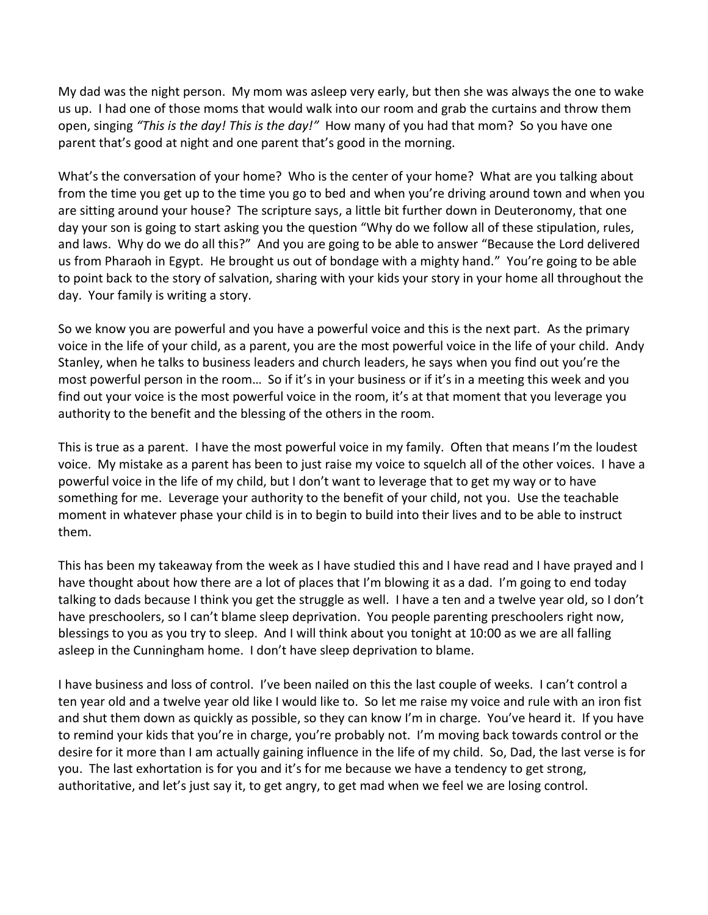My dad was the night person. My mom was asleep very early, but then she was always the one to wake us up. I had one of those moms that would walk into our room and grab the curtains and throw them open, singing *"This is the day! This is the day!"* How many of you had that mom? So you have one parent that's good at night and one parent that's good in the morning.

What's the conversation of your home? Who is the center of your home? What are you talking about from the time you get up to the time you go to bed and when you're driving around town and when you are sitting around your house? The scripture says, a little bit further down in Deuteronomy, that one day your son is going to start asking you the question "Why do we follow all of these stipulation, rules, and laws. Why do we do all this?" And you are going to be able to answer "Because the Lord delivered us from Pharaoh in Egypt. He brought us out of bondage with a mighty hand." You're going to be able to point back to the story of salvation, sharing with your kids your story in your home all throughout the day. Your family is writing a story.

So we know you are powerful and you have a powerful voice and this is the next part. As the primary voice in the life of your child, as a parent, you are the most powerful voice in the life of your child. Andy Stanley, when he talks to business leaders and church leaders, he says when you find out you're the most powerful person in the room… So if it's in your business or if it's in a meeting this week and you find out your voice is the most powerful voice in the room, it's at that moment that you leverage you authority to the benefit and the blessing of the others in the room.

This is true as a parent. I have the most powerful voice in my family. Often that means I'm the loudest voice. My mistake as a parent has been to just raise my voice to squelch all of the other voices. I have a powerful voice in the life of my child, but I don't want to leverage that to get my way or to have something for me. Leverage your authority to the benefit of your child, not you. Use the teachable moment in whatever phase your child is in to begin to build into their lives and to be able to instruct them.

This has been my takeaway from the week as I have studied this and I have read and I have prayed and I have thought about how there are a lot of places that I'm blowing it as a dad. I'm going to end today talking to dads because I think you get the struggle as well. I have a ten and a twelve year old, so I don't have preschoolers, so I can't blame sleep deprivation. You people parenting preschoolers right now, blessings to you as you try to sleep. And I will think about you tonight at 10:00 as we are all falling asleep in the Cunningham home. I don't have sleep deprivation to blame.

I have business and loss of control. I've been nailed on this the last couple of weeks. I can't control a ten year old and a twelve year old like I would like to. So let me raise my voice and rule with an iron fist and shut them down as quickly as possible, so they can know I'm in charge. You've heard it. If you have to remind your kids that you're in charge, you're probably not. I'm moving back towards control or the desire for it more than I am actually gaining influence in the life of my child. So, Dad, the last verse is for you. The last exhortation is for you and it's for me because we have a tendency to get strong, authoritative, and let's just say it, to get angry, to get mad when we feel we are losing control.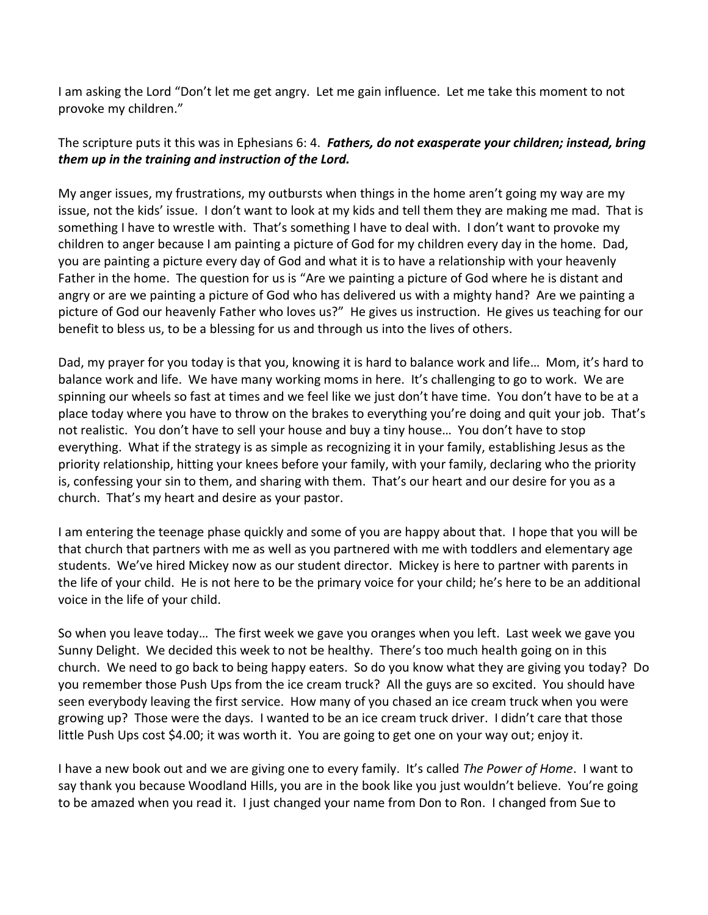I am asking the Lord "Don't let me get angry. Let me gain influence. Let me take this moment to not provoke my children."

## The scripture puts it this was in Ephesians 6: 4. *Fathers, do not exasperate your children; instead, bring them up in the training and instruction of the Lord.*

My anger issues, my frustrations, my outbursts when things in the home aren't going my way are my issue, not the kids' issue. I don't want to look at my kids and tell them they are making me mad. That is something I have to wrestle with. That's something I have to deal with. I don't want to provoke my children to anger because I am painting a picture of God for my children every day in the home. Dad, you are painting a picture every day of God and what it is to have a relationship with your heavenly Father in the home. The question for us is "Are we painting a picture of God where he is distant and angry or are we painting a picture of God who has delivered us with a mighty hand? Are we painting a picture of God our heavenly Father who loves us?" He gives us instruction. He gives us teaching for our benefit to bless us, to be a blessing for us and through us into the lives of others.

Dad, my prayer for you today is that you, knowing it is hard to balance work and life… Mom, it's hard to balance work and life. We have many working moms in here. It's challenging to go to work. We are spinning our wheels so fast at times and we feel like we just don't have time. You don't have to be at a place today where you have to throw on the brakes to everything you're doing and quit your job. That's not realistic. You don't have to sell your house and buy a tiny house… You don't have to stop everything. What if the strategy is as simple as recognizing it in your family, establishing Jesus as the priority relationship, hitting your knees before your family, with your family, declaring who the priority is, confessing your sin to them, and sharing with them. That's our heart and our desire for you as a church. That's my heart and desire as your pastor.

I am entering the teenage phase quickly and some of you are happy about that. I hope that you will be that church that partners with me as well as you partnered with me with toddlers and elementary age students. We've hired Mickey now as our student director. Mickey is here to partner with parents in the life of your child. He is not here to be the primary voice for your child; he's here to be an additional voice in the life of your child.

So when you leave today… The first week we gave you oranges when you left. Last week we gave you Sunny Delight. We decided this week to not be healthy. There's too much health going on in this church. We need to go back to being happy eaters. So do you know what they are giving you today? Do you remember those Push Ups from the ice cream truck? All the guys are so excited. You should have seen everybody leaving the first service. How many of you chased an ice cream truck when you were growing up? Those were the days. I wanted to be an ice cream truck driver. I didn't care that those little Push Ups cost \$4.00; it was worth it. You are going to get one on your way out; enjoy it.

I have a new book out and we are giving one to every family. It's called *The Power of Home*. I want to say thank you because Woodland Hills, you are in the book like you just wouldn't believe. You're going to be amazed when you read it. I just changed your name from Don to Ron. I changed from Sue to